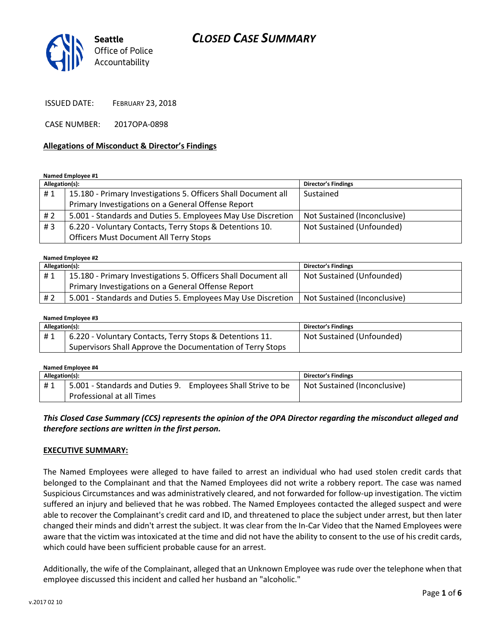

ISSUED DATE: FEBRUARY 23, 2018

CASE NUMBER: 2017OPA-0898

### **Allegations of Misconduct & Director's Findings**

**Named Employee #1**

| Allegation(s): |                                                                | <b>Director's Findings</b>   |
|----------------|----------------------------------------------------------------|------------------------------|
| #1             | 15.180 - Primary Investigations 5. Officers Shall Document all | Sustained                    |
|                | Primary Investigations on a General Offense Report             |                              |
| # 2            | 5.001 - Standards and Duties 5. Employees May Use Discretion   | Not Sustained (Inconclusive) |
| #3             | 6.220 - Voluntary Contacts, Terry Stops & Detentions 10.       | Not Sustained (Unfounded)    |
|                | <b>Officers Must Document All Terry Stops</b>                  |                              |

#### **Named Employee #2**

| Allegation(s): |                                                                | Director's Findings          |  |  |
|----------------|----------------------------------------------------------------|------------------------------|--|--|
| #1             | 15.180 - Primary Investigations 5. Officers Shall Document all | Not Sustained (Unfounded)    |  |  |
|                | Primary Investigations on a General Offense Report             |                              |  |  |
| # 2            | 5.001 - Standards and Duties 5. Employees May Use Discretion   | Not Sustained (Inconclusive) |  |  |

### **Named Employee #3**

| Allegation(s): |                                                            | Director's Findings       |
|----------------|------------------------------------------------------------|---------------------------|
| #1             | 6.220 - Voluntary Contacts, Terry Stops & Detentions 11.   | Not Sustained (Unfounded) |
|                | Supervisors Shall Approve the Documentation of Terry Stops |                           |

### **Named Employee #4**

| Allegation(s): |                                                              | Director's Findings |                              |
|----------------|--------------------------------------------------------------|---------------------|------------------------------|
| #1             | 5.001 - Standards and Duties 9. Employees Shall Strive to be |                     | Not Sustained (Inconclusive) |
|                | Professional at all Times                                    |                     |                              |

### *This Closed Case Summary (CCS) represents the opinion of the OPA Director regarding the misconduct alleged and therefore sections are written in the first person.*

### **EXECUTIVE SUMMARY:**

The Named Employees were alleged to have failed to arrest an individual who had used stolen credit cards that belonged to the Complainant and that the Named Employees did not write a robbery report. The case was named Suspicious Circumstances and was administratively cleared, and not forwarded for follow-up investigation. The victim suffered an injury and believed that he was robbed. The Named Employees contacted the alleged suspect and were able to recover the Complainant's credit card and ID, and threatened to place the subject under arrest, but then later changed their minds and didn't arrest the subject. It was clear from the In-Car Video that the Named Employees were aware that the victim was intoxicated at the time and did not have the ability to consent to the use of his credit cards, which could have been sufficient probable cause for an arrest.

Additionally, the wife of the Complainant, alleged that an Unknown Employee was rude over the telephone when that employee discussed this incident and called her husband an "alcoholic."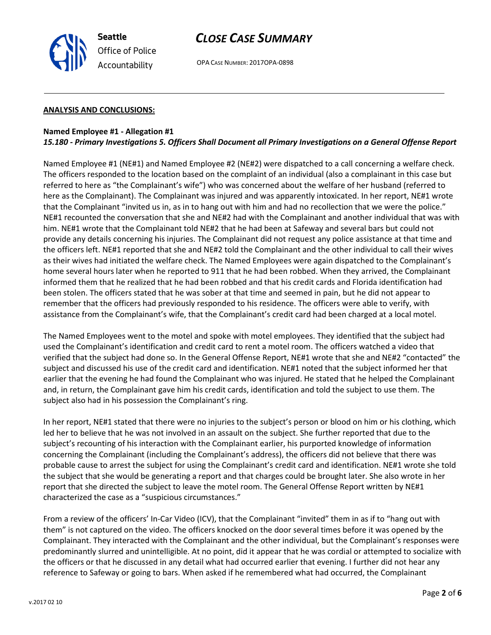

OPA CASE NUMBER: 2017OPA-0898

### **ANALYSIS AND CONCLUSIONS:**

### **Named Employee #1 - Allegation #1** *15.180 - Primary Investigations 5. Officers Shall Document all Primary Investigations on a General Offense Report*

Named Employee #1 (NE#1) and Named Employee #2 (NE#2) were dispatched to a call concerning a welfare check. The officers responded to the location based on the complaint of an individual (also a complainant in this case but referred to here as "the Complainant's wife") who was concerned about the welfare of her husband (referred to here as the Complainant). The Complainant was injured and was apparently intoxicated. In her report, NE#1 wrote that the Complainant "invited us in, as in to hang out with him and had no recollection that we were the police." NE#1 recounted the conversation that she and NE#2 had with the Complainant and another individual that was with him. NE#1 wrote that the Complainant told NE#2 that he had been at Safeway and several bars but could not provide any details concerning his injuries. The Complainant did not request any police assistance at that time and the officers left. NE#1 reported that she and NE#2 told the Complainant and the other individual to call their wives as their wives had initiated the welfare check. The Named Employees were again dispatched to the Complainant's home several hours later when he reported to 911 that he had been robbed. When they arrived, the Complainant informed them that he realized that he had been robbed and that his credit cards and Florida identification had been stolen. The officers stated that he was sober at that time and seemed in pain, but he did not appear to remember that the officers had previously responded to his residence. The officers were able to verify, with assistance from the Complainant's wife, that the Complainant's credit card had been charged at a local motel.

The Named Employees went to the motel and spoke with motel employees. They identified that the subject had used the Complainant's identification and credit card to rent a motel room. The officers watched a video that verified that the subject had done so. In the General Offense Report, NE#1 wrote that she and NE#2 "contacted" the subject and discussed his use of the credit card and identification. NE#1 noted that the subject informed her that earlier that the evening he had found the Complainant who was injured. He stated that he helped the Complainant and, in return, the Complainant gave him his credit cards, identification and told the subject to use them. The subject also had in his possession the Complainant's ring.

In her report, NE#1 stated that there were no injuries to the subject's person or blood on him or his clothing, which led her to believe that he was not involved in an assault on the subject. She further reported that due to the subject's recounting of his interaction with the Complainant earlier, his purported knowledge of information concerning the Complainant (including the Complainant's address), the officers did not believe that there was probable cause to arrest the subject for using the Complainant's credit card and identification. NE#1 wrote she told the subject that she would be generating a report and that charges could be brought later. She also wrote in her report that she directed the subject to leave the motel room. The General Offense Report written by NE#1 characterized the case as a "suspicious circumstances."

From a review of the officers' In-Car Video (ICV), that the Complainant "invited" them in as if to "hang out with them" is not captured on the video. The officers knocked on the door several times before it was opened by the Complainant. They interacted with the Complainant and the other individual, but the Complainant's responses were predominantly slurred and unintelligible. At no point, did it appear that he was cordial or attempted to socialize with the officers or that he discussed in any detail what had occurred earlier that evening. I further did not hear any reference to Safeway or going to bars. When asked if he remembered what had occurred, the Complainant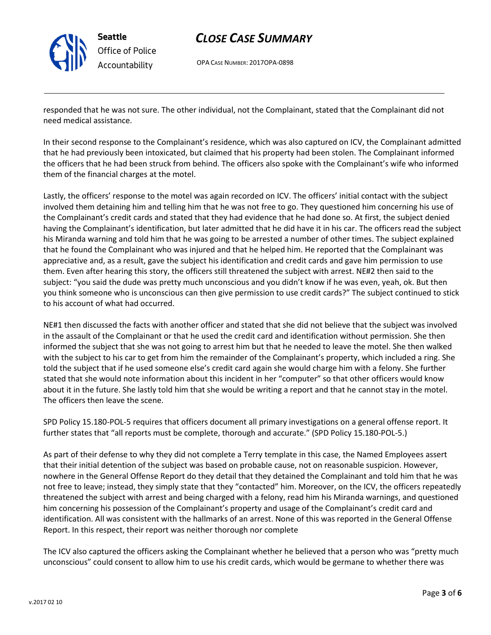

OPA CASE NUMBER: 2017OPA-0898

responded that he was not sure. The other individual, not the Complainant, stated that the Complainant did not need medical assistance.

In their second response to the Complainant's residence, which was also captured on ICV, the Complainant admitted that he had previously been intoxicated, but claimed that his property had been stolen. The Complainant informed the officers that he had been struck from behind. The officers also spoke with the Complainant's wife who informed them of the financial charges at the motel.

Lastly, the officers' response to the motel was again recorded on ICV. The officers' initial contact with the subject involved them detaining him and telling him that he was not free to go. They questioned him concerning his use of the Complainant's credit cards and stated that they had evidence that he had done so. At first, the subject denied having the Complainant's identification, but later admitted that he did have it in his car. The officers read the subject his Miranda warning and told him that he was going to be arrested a number of other times. The subject explained that he found the Complainant who was injured and that he helped him. He reported that the Complainant was appreciative and, as a result, gave the subject his identification and credit cards and gave him permission to use them. Even after hearing this story, the officers still threatened the subject with arrest. NE#2 then said to the subject: "you said the dude was pretty much unconscious and you didn't know if he was even, yeah, ok. But then you think someone who is unconscious can then give permission to use credit cards?" The subject continued to stick to his account of what had occurred.

NE#1 then discussed the facts with another officer and stated that she did not believe that the subject was involved in the assault of the Complainant or that he used the credit card and identification without permission. She then informed the subject that she was not going to arrest him but that he needed to leave the motel. She then walked with the subject to his car to get from him the remainder of the Complainant's property, which included a ring. She told the subject that if he used someone else's credit card again she would charge him with a felony. She further stated that she would note information about this incident in her "computer" so that other officers would know about it in the future. She lastly told him that she would be writing a report and that he cannot stay in the motel. The officers then leave the scene.

SPD Policy 15.180-POL-5 requires that officers document all primary investigations on a general offense report. It further states that "all reports must be complete, thorough and accurate." (SPD Policy 15.180-POL-5.)

As part of their defense to why they did not complete a Terry template in this case, the Named Employees assert that their initial detention of the subject was based on probable cause, not on reasonable suspicion. However, nowhere in the General Offense Report do they detail that they detained the Complainant and told him that he was not free to leave; instead, they simply state that they "contacted" him. Moreover, on the ICV, the officers repeatedly threatened the subject with arrest and being charged with a felony, read him his Miranda warnings, and questioned him concerning his possession of the Complainant's property and usage of the Complainant's credit card and identification. All was consistent with the hallmarks of an arrest. None of this was reported in the General Offense Report. In this respect, their report was neither thorough nor complete

The ICV also captured the officers asking the Complainant whether he believed that a person who was "pretty much unconscious" could consent to allow him to use his credit cards, which would be germane to whether there was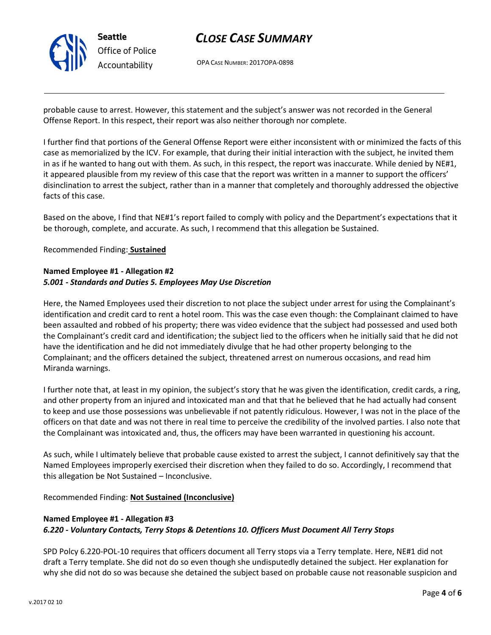

OPA CASE NUMBER: 2017OPA-0898

probable cause to arrest. However, this statement and the subject's answer was not recorded in the General Offense Report. In this respect, their report was also neither thorough nor complete.

I further find that portions of the General Offense Report were either inconsistent with or minimized the facts of this case as memorialized by the ICV. For example, that during their initial interaction with the subject, he invited them in as if he wanted to hang out with them. As such, in this respect, the report was inaccurate. While denied by NE#1, it appeared plausible from my review of this case that the report was written in a manner to support the officers' disinclination to arrest the subject, rather than in a manner that completely and thoroughly addressed the objective facts of this case.

Based on the above, I find that NE#1's report failed to comply with policy and the Department's expectations that it be thorough, complete, and accurate. As such, I recommend that this allegation be Sustained.

Recommended Finding: **Sustained**

# **Named Employee #1 - Allegation #2**

## *5.001 - Standards and Duties 5. Employees May Use Discretion*

Here, the Named Employees used their discretion to not place the subject under arrest for using the Complainant's identification and credit card to rent a hotel room. This was the case even though: the Complainant claimed to have been assaulted and robbed of his property; there was video evidence that the subject had possessed and used both the Complainant's credit card and identification; the subject lied to the officers when he initially said that he did not have the identification and he did not immediately divulge that he had other property belonging to the Complainant; and the officers detained the subject, threatened arrest on numerous occasions, and read him Miranda warnings.

I further note that, at least in my opinion, the subject's story that he was given the identification, credit cards, a ring, and other property from an injured and intoxicated man and that that he believed that he had actually had consent to keep and use those possessions was unbelievable if not patently ridiculous. However, I was not in the place of the officers on that date and was not there in real time to perceive the credibility of the involved parties. I also note that the Complainant was intoxicated and, thus, the officers may have been warranted in questioning his account.

As such, while I ultimately believe that probable cause existed to arrest the subject, I cannot definitively say that the Named Employees improperly exercised their discretion when they failed to do so. Accordingly, I recommend that this allegation be Not Sustained – Inconclusive.

Recommended Finding: **Not Sustained (Inconclusive)**

## **Named Employee #1 - Allegation #3** *6.220 - Voluntary Contacts, Terry Stops & Detentions 10. Officers Must Document All Terry Stops*

SPD Polcy 6.220-POL-10 requires that officers document all Terry stops via a Terry template. Here, NE#1 did not draft a Terry template. She did not do so even though she undisputedly detained the subject. Her explanation for why she did not do so was because she detained the subject based on probable cause not reasonable suspicion and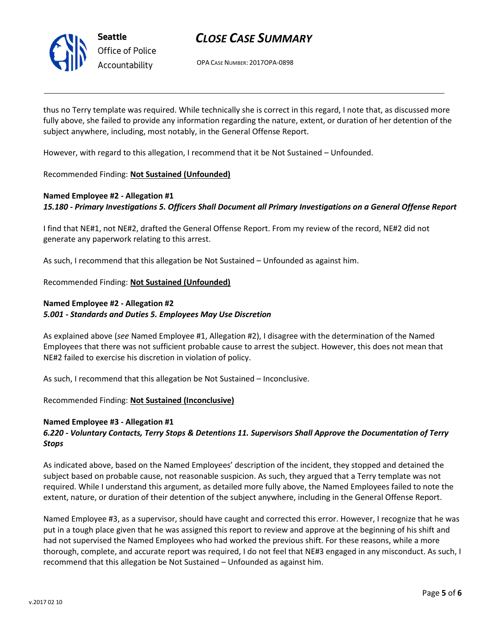

OPA CASE NUMBER: 2017OPA-0898

thus no Terry template was required. While technically she is correct in this regard, I note that, as discussed more fully above, she failed to provide any information regarding the nature, extent, or duration of her detention of the subject anywhere, including, most notably, in the General Offense Report.

However, with regard to this allegation, I recommend that it be Not Sustained – Unfounded.

### Recommended Finding: **Not Sustained (Unfounded)**

## **Named Employee #2 - Allegation #1** *15.180 - Primary Investigations 5. Officers Shall Document all Primary Investigations on a General Offense Report*

I find that NE#1, not NE#2, drafted the General Offense Report. From my review of the record, NE#2 did not generate any paperwork relating to this arrest.

As such, I recommend that this allegation be Not Sustained – Unfounded as against him.

Recommended Finding: **Not Sustained (Unfounded)**

## **Named Employee #2 - Allegation #2** *5.001 - Standards and Duties 5. Employees May Use Discretion*

As explained above (*see* Named Employee #1, Allegation #2), I disagree with the determination of the Named Employees that there was not sufficient probable cause to arrest the subject. However, this does not mean that NE#2 failed to exercise his discretion in violation of policy.

As such, I recommend that this allegation be Not Sustained – Inconclusive.

### Recommended Finding: **Not Sustained (Inconclusive)**

### **Named Employee #3 - Allegation #1**

## *6.220 - Voluntary Contacts, Terry Stops & Detentions 11. Supervisors Shall Approve the Documentation of Terry Stops*

As indicated above, based on the Named Employees' description of the incident, they stopped and detained the subject based on probable cause, not reasonable suspicion. As such, they argued that a Terry template was not required. While I understand this argument, as detailed more fully above, the Named Employees failed to note the extent, nature, or duration of their detention of the subject anywhere, including in the General Offense Report.

Named Employee #3, as a supervisor, should have caught and corrected this error. However, I recognize that he was put in a tough place given that he was assigned this report to review and approve at the beginning of his shift and had not supervised the Named Employees who had worked the previous shift. For these reasons, while a more thorough, complete, and accurate report was required, I do not feel that NE#3 engaged in any misconduct. As such, I recommend that this allegation be Not Sustained – Unfounded as against him.